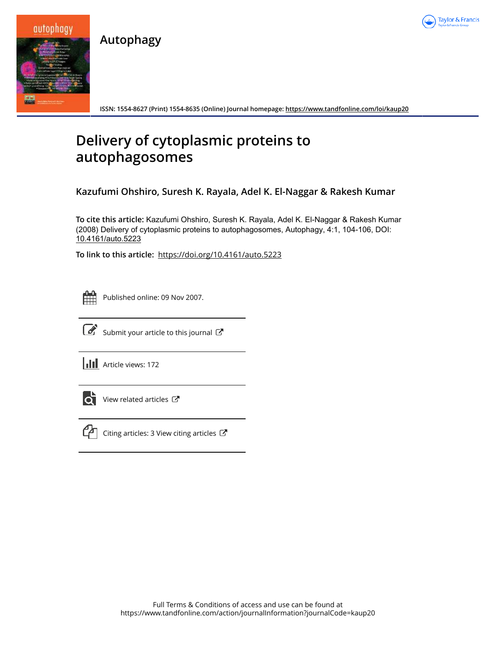

**Autophagy**



**ISSN: 1554-8627 (Print) 1554-8635 (Online) Journal homepage: https://www.tandfonline.com/loi/kaup20**

## **Delivery of cytoplasmic proteins to autophagosomes**

**Kazufumi Ohshiro, Suresh K. Rayala, Adel K. El-Naggar & Rakesh Kumar**

**To cite this article:** Kazufumi Ohshiro, Suresh K. Rayala, Adel K. El-Naggar & Rakesh Kumar (2008) Delivery of cytoplasmic proteins to autophagosomes, Autophagy, 4:1, 104-106, DOI: 10.4161/auto.5223

**To link to this article:** https://doi.org/10.4161/auto.5223



Published online: 09 Nov 2007.



Submit your article to this journal  $\mathbb{Z}$ 

**III** Article views: 172



 $\bullet$  View related articles  $\bullet$ 



 $\mathbb{C}$  Citing articles: 3 View citing articles  $\mathbb{C}$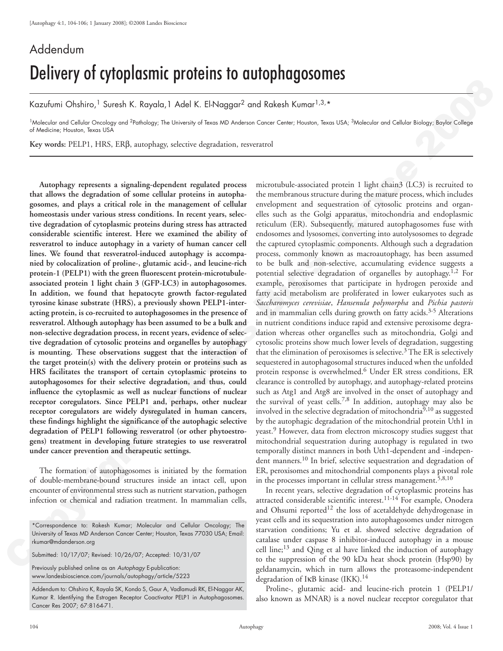## Addendum Delivery of cytoplasmic proteins to autophagosomes

Kazufumi Ohshiro,<sup>1</sup> Suresh K. Rayala,1 Adel K. El-Naggar<sup>2</sup> and Rakesh Kumar<sup>1,3,\*</sup>

<sup>1</sup>Molecular and Cellular Oncology and <sup>2</sup>Pathology; The University of Texas MD Anderson Cancer Center; Houston, Texas USA; <sup>3</sup>Molecular and Cellular Biology; Baylor College of Medicine; Houston, Texas USA

**Key words:** PELP1, HRS, ERβ, autophagy, selective degradation, resveratrol

**Autophagy represents a signaling-dependent regulated process that allows the degradation of some cellular proteins in autophagosomes, and plays a critical role in the management of cellular homeostasis under various stress conditions. In recent years, selective degradation of cytoplasmic proteins during stress has attracted considerable scientific interest. Here we examined the ability of resveratrol to induce autophagy in a variety of human cancer cell lines. We found that resveratrol-induced autophagy is accompanied by colocalization of proline-, glutamic acid-, and leucine-rich protein-1 (PELP1) with the green fluorescent protein-microtubuleassociated protein 1 light chain 3 (GFP-LC3) in autophagosomes. In addition, we found that hepatocyte growth factor-regulated tyrosine kinase substrate (HRS), a previously shown PELP1-interacting protein, is co-recruited to autophagosomes in the presence of resveratrol. Although autophagy has been assumed to be a bulk and non-selective degradation process, in recent years, evidence of selective degradation of cytosolic proteins and organelles by autophagy is mounting. These observations suggest that the interaction of the target protein(s) with the delivery protein or proteins such as HRS facilitates the transport of certain cytoplasmic proteins to autophagosomes for their selective degradation, and thus, could influence the cytoplasmic as well as nuclear functions of nuclear receptor coregulators. Since PELP1 and, perhaps, other nuclear receptor coregulators are widely dysregulated in human cancers, these findings highlight the significance of the autophagic selective degradation of PELP1 following resveratrol (or other phytoestrogens) treatment in developing future strategies to use resveratrol under cancer prevention and therapeutic settings.**

The formation of autophagosomes is initiated by the formation of double-membrane-bound structures inside an intact cell, upon encounter of environmental stress such as nutrient starvation, pathogen infection or chemical and radiation treatment. In mammalian cells,

Submitted: 10/17/07; Revised: 10/26/07; Accepted: 10/31/07

Previously published online as an Autophagy E-publication: www.landesbioscience.com/journals/autophagy/article/5223

Addendum to: Ohshiro K, Rayala SK, Kondo S, Gaur A, Vadlamudi RK, El-Naggar AK, Kumar R. Identifying the Estrogen Receptor Coactivator PELP1 in Autophagosomes. Cancer Res 2007; 67:8164-71.

**EXERCT CONFERENCE ACCESS CONFERENCE INTERFERENCE ACCESS CONFERENCE ACCESS CONFERENCE ACCESS CONFERENCE ACCESS CONFERENCE ACCESS CONFERENCE ACCESS CONFERENCE ACCESS CONFERENCE ACCESS CONFERENCE ACCESS CONFERENCE ACCESS CO** microtubule-associated protein 1 light chain3 (LC3) is recruited to the membranous structure during the mature process, which includes envelopment and sequestration of cytosolic proteins and organelles such as the Golgi apparatus, mitochondria and endoplasmic reticulum (ER). Subsequently, matured autophagosomes fuse with endosomes and lysosomes, converting into autolysosomes to degrade the captured cytoplasmic components. Although such a degradation process, commonly known as macroautophagy, has been assumed to be bulk and non-selective, accumulating evidence suggests a potential selective degradation of organelles by autophagy.<sup>1,2</sup> For example, peroxisomes that participate in hydrogen peroxide and fatty acid metabolism are proliferated in lower eukaryotes such as *Saccharomyces cerevisiae*, *Hansenula polymorpha* and *Pichia pastoris*  and in mammalian cells during growth on fatty acids.<sup>3-5</sup> Alterations in nutrient conditions induce rapid and extensive peroxisome degradation whereas other organelles such as mitochondria, Golgi and cytosolic proteins show much lower levels of degradation, suggesting that the elimination of peroxisomes is selective.<sup>3</sup> The ER is selectively sequestered in autophagosomal structures induced when the unfolded protein response is overwhelmed.<sup>6</sup> Under ER stress conditions, ER clearance is controlled by autophagy, and autophagy-related proteins such as Atg1 and Atg8 are involved in the onset of autophagy and the survival of yeast cells.<sup>7,8</sup> In addition, autophagy may also be involved in the selective degradation of mitochondria $9,10$  as suggested by the autophagic degradation of the mitochondrial protein Uth1 in yeast.<sup>9</sup> However, data from electron microscopy studies suggest that mitochondrial sequestration during autophagy is regulated in two temporally distinct manners in both Uth1-dependent and -independent manners.<sup>10</sup> In brief, selective sequestration and degradation of ER, peroxisomes and mitochondrial components plays a pivotal role in the processes important in cellular stress management.<sup>5,8,10</sup>

In recent years, selective degradation of cytoplasmic proteins has attracted considerable scientific interest.<sup>11-14</sup> For example, Onodera and Ohsumi reported<sup>12</sup> the loss of acetaldehyde dehydrogenase in yeast cells and its sequestration into autophagosomes under nitrogen starvation conditions; Yu et al. showed selective degradation of catalase under caspase 8 inhibitor-induced autophagy in a mouse cell line; $^{13}$  and Qing et al have linked the induction of autophagy to the suppression of the 90 kDa heat shock protein (Hsp90) by geldanamycin, which in turn allows the proteasome-independent degradation of IKB kinase (IKK).<sup>14</sup>

Proline-, glutamic acid- and leucine-rich protein 1 (PELP1/ also known as MNAR) is a novel nuclear receptor coregulator that

<sup>\*</sup>Correspondence to: Rakesh Kumar; Molecular and Cellular Oncology; The University of Texas MD Anderson Cancer Center; Houston, Texas 77030 USA; Email: rkumar@mdanderson.org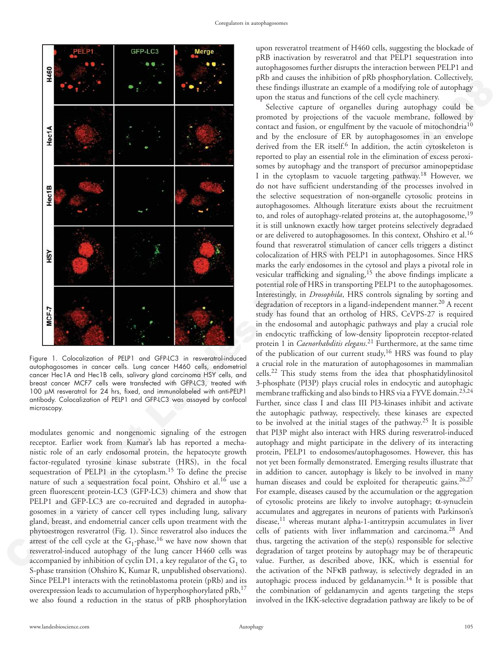

Figure 1. Colocalization of PELP1 and GFP-LC3 in resveratrol-induced autophagosomes in cancer cells. Lung cancer H460 cells, endometrial cancer Hec1A and Hec1B cells, salivary gland carcinoma HSY cells, and breast cancer MCF7 cells were transfected with GFP-LC3, treated with 100 µM resveratrol for 24 hrs, fixed, and immunolabeled with anti-PELP1 antibody. Colocalization of PELP1 and GFP-LC3 was assayed by confocal microscopy.

modulates genomic and nongenomic signaling of the estrogen receptor. Earlier work from Kumar's lab has reported a mechanistic role of an early endosomal protein, the hepatocyte growth factor-regulated tyrosine kinase substrate (HRS), in the focal sequestration of PELP1 in the cytoplasm.<sup>15</sup> To define the precise nature of such a sequestration focal point, Ohshiro et al.<sup>16</sup> use a green fluorescent protein-LC3 (GFP-LC3) chimera and show that PELP1 and GFP-LC3 are co-recruited and degraded in autophagosomes in a variety of cancer cell types including lung, salivary gland, breast, and endometrial cancer cells upon treatment with the phytoestrogen resveratrol (Fig. 1). Since resveratrol also induces the arrest of the cell cycle at the  $G_1$ -phase,  $^{16}$  we have now shown that resveratrol-induced autophagy of the lung cancer H460 cells was accompanied by inhibition of cyclin D1, a key regulator of the  $\mathrm{G}_1$  to S-phase transition (Ohshiro K, Kumar R, unpublished observations). Since PELP1 interacts with the retinoblastoma protein (pRb) and its overexpression leads to accumulation of hyperphosphorylated  $pRb$ ,  $17$ we also found a reduction in the status of pRB phosphorylation

upon resveratrol treatment of H460 cells, suggesting the blockade of pRB inactivation by resveratrol and that PELP1 sequestration into autophagosomes further disrupts the interaction between PELP1 and pRb and causes the inhibition of pRb phosphorylation. Collectively, these findings illustrate an example of a modifying role of autophagy upon the status and functions of the cell cycle machinery.

**EXERC:** A set that the since the since the since the since the since the since the since the since the since the since the since the since the since the since the since the since the since the since the since the since t Selective capture of organelles during autophagy could be promoted by projections of the vacuole membrane, followed by contact and fusion, or engulfment by the vacuole of mitochondria<sup>10</sup> and by the enclosure of ER by autophagosomes in an envelope derived from the ER itself.<sup>6</sup> In addition, the actin cytoskeleton is reported to play an essential role in the elimination of excess peroxisomes by autophagy and the transport of precursor aminopeptidase I in the cytoplasm to vacuole targeting pathway.18 However, we do not have sufficient understanding of the processes involved in the selective sequestration of non-organelle cytosolic proteins in autophagosomes. Although literature exists about the recruitment to, and roles of autophagy-related proteins at, the autophagosome,<sup>19</sup> it is still unknown exactly how target proteins selectively degradaed or are delivered to autophagosomes. In this context, Ohshiro et al.<sup>16</sup> found that resveratrol stimulation of cancer cells triggers a distinct colocalization of HRS with PELP1 in autophagosomes. Since HRS marks the early endosomes in the cytosol and plays a pivotal role in vesicular trafficking and signaling,<sup>15</sup> the above findings implicate a potential role of HRS in transporting PELP1 to the autophagosomes. Interestingly, in *Drosophila*, HRS controls signaling by sorting and degradation of receptors in a ligand-independent manner.<sup>20</sup> A recent study has found that an ortholog of HRS, CeVPS-27 is required in the endosomal and autophagic pathways and play a crucial role in endocytic trafficking of low-density lipoprotein receptor-related protein 1 in *Caenorhabditis elegans*. <sup>21</sup> Furthermore, at the same time of the publication of our current study,<sup>16</sup> HRS was found to play a crucial role in the maturation of autophagosomes in mammalian cells.22 This study stems from the idea that phosphatidylinositol 3-phosphate (PI3P) plays crucial roles in endocytic and autophagic membrane trafficking and also binds to HRS via a FYVE domain.<sup>23,24</sup> Further, since class I and class III PI3-kinases inhibit and activate the autophagic pathway, respectively, these kinases are expected to be involved at the initial stages of the pathway.25 It is possible that PI3P might also interact with HRS during resveratrol-induced autophagy and might participate in the delivery of its interacting protein, PELP1 to endosomes/autophagosomes. However, this has not yet been formally demonstrated. Emerging results illustrate that in addition to cancer, autophagy is likely to be involved in many human diseases and could be exploited for therapeutic gains.<sup>26,27</sup> For example, diseases caused by the accumulation or the aggregation of cytosolic proteins are likely to involve autophagy;  $\alpha$ -synuclein accumulates and aggregates in neurons of patients with Parkinson's disease,<sup>11</sup> whereas mutant alpha-1-antitrypsin accumulates in liver cells of patients with liver inflammation and carcinoma.28 And thus, targeting the activation of the step(s) responsible for selective degradation of target proteins by autophagy may be of therapeutic value. Further, as described above, IKK, which is essential for the activation of the NFkB pathway, is selectively degraded in an autophagic process induced by geldanamycin.<sup>14</sup> It is possible that the combination of geldanamycin and agents targeting the steps involved in the IKK-selective degradation pathway are likely to be of